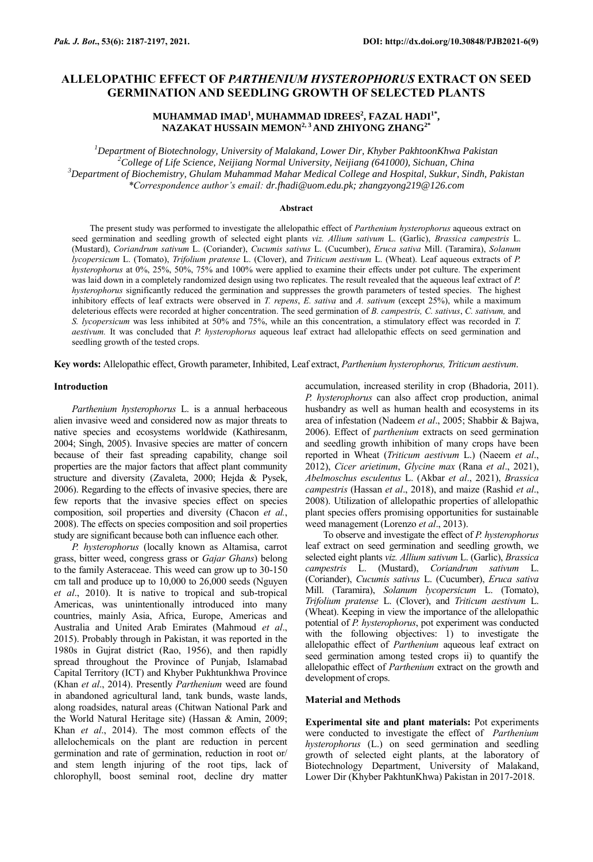# **ALLELOPATHIC EFFECT OF** *PARTHENIUM HYSTEROPHORUS* **EXTRACT ON SEED GERMINATION AND SEEDLING GROWTH OF SELECTED PLANTS**

## **MUHAMMAD IMAD<sup>1</sup> , MUHAMMAD IDREES<sup>2</sup> , FAZAL HADI1\* , NAZAKAT HUSSAIN MEMON2, 3 AND ZHIYONG ZHANG2\***

*Department of Biotechnology, University of Malakand, Lower Dir, Khyber PakhtoonKhwa Pakistan College of Life Science, Neijiang Normal University, Neijiang (641000), Sichuan, China Department of Biochemistry, Ghulam Muhammad Mahar Medical College and Hospital, Sukkur, Sindh, Pakistan \*Correspondence author's email: dr.fhadi@uom.edu.pk; zhangzyong219@126.com*

### **Abstract**

The present study was performed to investigate the allelopathic effect of *Parthenium hysterophorus* aqueous extract on seed germination and seedling growth of selected eight plants *viz. Allium sativum* L. (Garlic), *Brassica campestris* L. (Mustard), *Coriandrum sativum* L. (Coriander), *Cucumis sativus* L. (Cucumber), *Eruca sativa* Mill. (Taramira), *Solanum lycopersicum* L. (Tomato), *Trifolium pratense* L. (Clover), and *Triticum aestivum* L. (Wheat). Leaf aqueous extracts of *P. hysterophorus* at 0%, 25%, 50%, 75% and 100% were applied to examine their effects under pot culture. The experiment was laid down in a completely randomized design using two replicates. The result revealed that the aqueous leaf extract of *P. hysterophorus* significantly reduced the germination and suppresses the growth parameters of tested species. The highest inhibitory effects of leaf extracts were observed in *T. repens*, *E. sativa* and *A. sativum* (except 25%), while a maximum deleterious effects were recorded at higher concentration. The seed germination of *B. campestris, C. sativus*, *C. sativum,* and *S. lycopersicum* was less inhibited at 50% and 75%, while an this concentration, a stimulatory effect was recorded in *T. aestivum.* It was concluded that *P. hysterophorus* aqueous leaf extract had allelopathic effects on seed germination and seedling growth of the tested crops.

**Key words:** Allelopathic effect, Growth parameter, Inhibited, Leaf extract, *Parthenium hysterophorus, Triticum aestivum*.

### **Introduction**

*Parthenium hysterophorus* L. is a annual herbaceous alien invasive weed and considered now as major threats to native species and ecosystems worldwide (Kathiresanm, 2004; Singh, 2005). Invasive species are matter of concern because of their fast spreading capability, change soil properties are the major factors that affect plant community structure and diversity (Zavaleta, 2000; Hejda & Pysek, 2006). Regarding to the effects of invasive species, there are few reports that the invasive species effect on species composition, soil properties and diversity (Chacon *et al.*, 2008). The effects on species composition and soil properties study are significant because both can influence each other.

*P. hysterophorus* (locally known as Altamisa, carrot grass, bitter weed, congress grass or *Gajar Ghans*) belong to the family Asteraceae. This weed can grow up to 30-150 cm tall and produce up to 10,000 to 26,000 seeds (Nguyen *et al*., 2010). It is native to tropical and sub-tropical Americas, was unintentionally introduced into many countries, mainly Asia, Africa, Europe, Americas and Australia and United Arab Emirates (Mahmoud *et al*., 2015). Probably through in Pakistan, it was reported in the 1980s in Gujrat district (Rao, 1956), and then rapidly spread throughout the Province of Punjab, Islamabad Capital Territory (ICT) and Khyber Pukhtunkhwa Province (Khan *et al*., 2014). Presently *Parthenium* weed are found in abandoned agricultural land, tank bunds, waste lands, along roadsides, natural areas (Chitwan National Park and the World Natural Heritage site) (Hassan & Amin, 2009; Khan *et al*., 2014). The most common effects of the allelochemicals on the plant are reduction in percent germination and rate of germination, reduction in root or/ and stem length injuring of the root tips, lack of chlorophyll, boost seminal root, decline dry matter

accumulation, increased sterility in crop (Bhadoria, 2011). *P. hysterophorus* can also affect crop production, animal husbandry as well as human health and ecosystems in its area of infestation (Nadeem *et al*., 2005; Shabbir & Bajwa, 2006). Effect of *parthenium* extracts on seed germination and seedling growth inhibition of many crops have been reported in Wheat (*Triticum aestivum* L.) (Naeem *et al*., 2012), *Cicer arietinum*, *Glycine max* (Rana *et al*., 2021), *Abelmoschus esculentus* L. (Akbar *et al*., 2021), *Brassica campestris* (Hassan *et al*., 2018), and maize (Rashid *et al*., 2008). Utilization of allelopathic properties of allelopathic plant species offers promising opportunities for sustainable weed management (Lorenzo *et al*., 2013).

To observe and investigate the effect of *P. hysterophorus* leaf extract on seed germination and seedling growth, we selected eight plants *viz. Allium sativum* L. (Garlic), *Brassica campestris* L. (Mustard), *Coriandrum sativum* L. (Coriander), *Cucumis sativus* L. (Cucumber), *Eruca sativa*  Mill. (Taramira), *Solanum lycopersicum* L. (Tomato), *Trifolium pratense* L. (Clover), and *Triticum aestivum* L. (Wheat). Keeping in view the importance of the allelopathic potential of *P. hysterophorus*, pot experiment was conducted with the following objectives: 1) to investigate the allelopathic effect of *Parthenium* aqueous leaf extract on seed germination among tested crops ii) to quantify the allelopathic effect of *Parthenium* extract on the growth and development of crops.

### **Material and Methods**

**Experimental site and plant materials:** Pot experiments were conducted to investigate the effect of *Parthenium hysterophorus* (L.) on seed germination and seedling growth of selected eight plants, at the laboratory of Biotechnology Department, University of Malakand, Lower Dir (Khyber PakhtunKhwa) Pakistan in 2017-2018.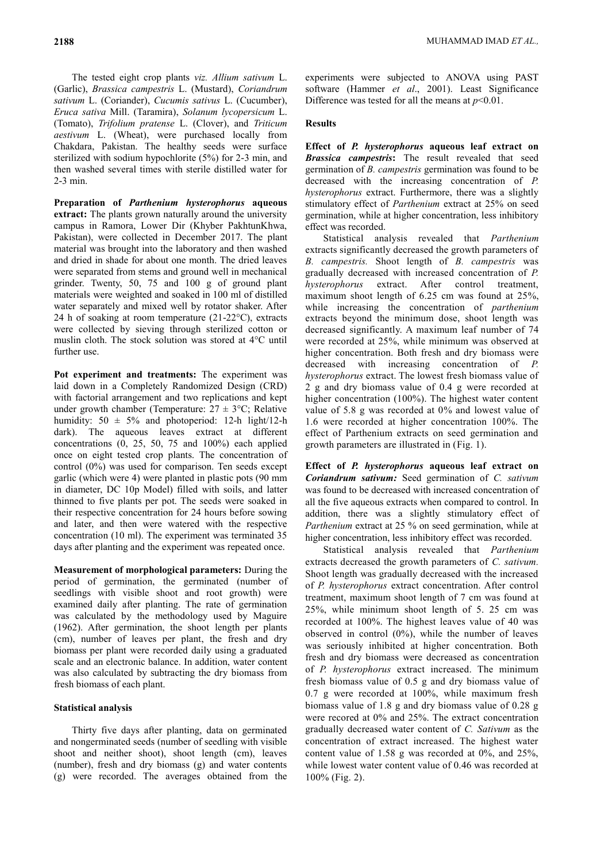The tested eight crop plants *viz. Allium sativum* L. (Garlic), *Brassica campestris* L. (Mustard), *Coriandrum sativum* L. (Coriander), *Cucumis sativus* L. (Cucumber), *Eruca sativa* Mill. (Taramira), *Solanum lycopersicum* L. (Tomato), *Trifolium pratense* L. (Clover), and *Triticum aestivum* L. (Wheat), were purchased locally from Chakdara, Pakistan. The healthy seeds were surface sterilized with sodium hypochlorite (5%) for 2-3 min, and then washed several times with sterile distilled water for 2-3 min.

**Preparation of** *Parthenium hysterophorus* **aqueous extract:** The plants grown naturally around the university campus in Ramora, Lower Dir (Khyber PakhtunKhwa, Pakistan), were collected in December 2017. The plant material was brought into the laboratory and then washed and dried in shade for about one month. The dried leaves were separated from stems and ground well in mechanical grinder. Twenty, 50, 75 and 100 g of ground plant materials were weighted and soaked in 100 ml of distilled water separately and mixed well by rotator shaker. After 24 h of soaking at room temperature (21-22°C), extracts were collected by sieving through sterilized cotton or muslin cloth. The stock solution was stored at 4°C until further use.

**Pot experiment and treatments:** The experiment was laid down in a Completely Randomized Design (CRD) with factorial arrangement and two replications and kept under growth chamber (Temperature:  $27 \pm 3$ °C; Relative humidity:  $50 \pm 5\%$  and photoperiod: 12-h light/12-h dark). The aqueous leaves extract at different concentrations (0, 25, 50, 75 and 100%) each applied once on eight tested crop plants. The concentration of control (0%) was used for comparison. Ten seeds except garlic (which were 4) were planted in plastic pots (90 mm in diameter, DC 10p Model) filled with soils, and latter thinned to five plants per pot. The seeds were soaked in their respective concentration for 24 hours before sowing and later, and then were watered with the respective concentration (10 ml). The experiment was terminated 35 days after planting and the experiment was repeated once.

**Measurement of morphological parameters:** During the period of germination, the germinated (number of seedlings with visible shoot and root growth) were examined daily after planting. The rate of germination was calculated by the methodology used by Maguire (1962). After germination, the shoot length per plants (cm), number of leaves per plant, the fresh and dry biomass per plant were recorded daily using a graduated scale and an electronic balance. In addition, water content was also calculated by subtracting the dry biomass from fresh biomass of each plant.

### **Statistical analysis**

Thirty five days after planting, data on germinated and nongerminated seeds (number of seedling with visible shoot and neither shoot), shoot length (cm), leaves (number), fresh and dry biomass (g) and water contents (g) were recorded. The averages obtained from the experiments were subjected to ANOVA using PAST software (Hammer *et al*., 2001). Least Significance Difference was tested for all the means at  $p<0.01$ .

### **Results**

**Effect of** *P. hysterophorus* **aqueous leaf extract on**  *Brassica campestris***:** The result revealed that seed germination of *B. campestris* germination was found to be decreased with the increasing concentration of *P. hysterophorus* extract. Furthermore, there was a slightly stimulatory effect of *Parthenium* extract at 25% on seed germination, while at higher concentration, less inhibitory effect was recorded.

Statistical analysis revealed that *Parthenium* extracts significantly decreased the growth parameters of *B. campestris.* Shoot length of *B. campestris* was gradually decreased with increased concentration of *P. hysterophorus* extract. After control treatment, maximum shoot length of 6.25 cm was found at 25%, while increasing the concentration of *parthenium* extracts beyond the minimum dose, shoot length was decreased significantly. A maximum leaf number of 74 were recorded at 25%, while minimum was observed at higher concentration. Both fresh and dry biomass were decreased with increasing concentration of *P. hysterophorus* extract. The lowest fresh biomass value of 2 g and dry biomass value of 0.4 g were recorded at higher concentration (100%). The highest water content value of 5.8 g was recorded at 0% and lowest value of 1.6 were recorded at higher concentration 100%. The effect of Parthenium extracts on seed germination and growth parameters are illustrated in (Fig. 1).

**Effect of** *P. hysterophorus* **aqueous leaf extract on** *Coriandrum sativum:* Seed germination of *C. sativum* was found to be decreased with increased concentration of all the five aqueous extracts when compared to control. In addition, there was a slightly stimulatory effect of *Parthenium* extract at 25 % on seed germination, while at higher concentration, less inhibitory effect was recorded.

Statistical analysis revealed that *Parthenium* extracts decreased the growth parameters of *C. sativum.*  Shoot length was gradually decreased with the increased of *P. hysterophorus* extract concentration. After control treatment, maximum shoot length of 7 cm was found at 25%, while minimum shoot length of 5. 25 cm was recorded at 100%. The highest leaves value of 40 was observed in control (0%), while the number of leaves was seriously inhibited at higher concentration. Both fresh and dry biomass were decreased as concentration of *P. hysterophorus* extract increased. The minimum fresh biomass value of 0.5 g and dry biomass value of 0.7 g were recorded at 100%, while maximum fresh biomass value of 1.8 g and dry biomass value of 0.28 g were recored at 0% and 25%. The extract concentration gradually decreased water content of *C. Sativum* as the concentration of extract increased. The highest water content value of 1.58 g was recorded at 0%, and 25%, while lowest water content value of 0.46 was recorded at 100% (Fig. 2).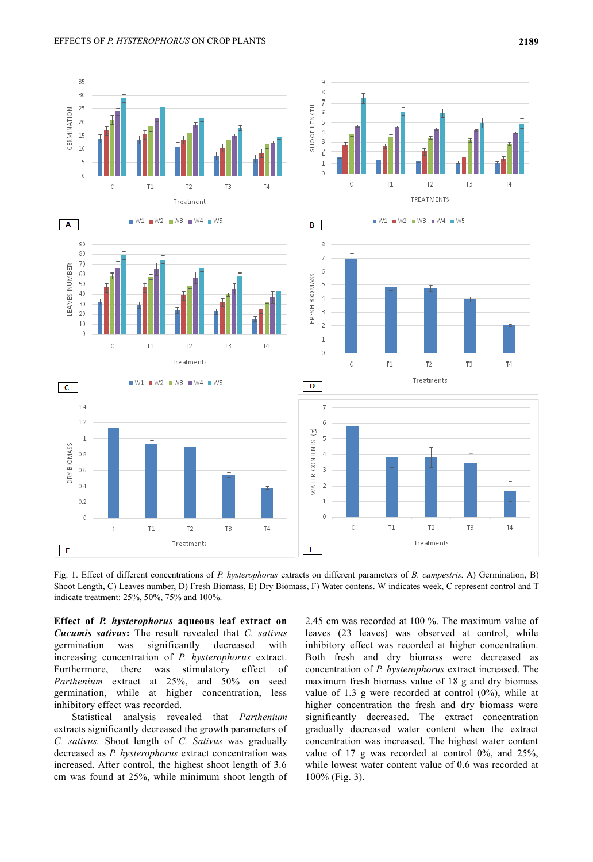

Fig. 1. Effect of different concentrations of *P. hysterophorus* extracts on different parameters of *B. campestris.* A) Germination, B) Shoot Length, C) Leaves number, D) Fresh Biomass, E) Dry Biomass, F) Water contens. W indicates week, C represent control and T indicate treatment: 25%, 50%, 75% and 100%.

**Effect of** *P. hysterophorus* **aqueous leaf extract on**  *Cucumis sativus***:** The result revealed that *C. sativus* germination was significantly decreased with increasing concentration of *P. hysterophorus* extract. Furthermore, there was stimulatory effect of *Parthenium* extract at 25%, and 50% on seed germination, while at higher concentration, less inhibitory effect was recorded.

Statistical analysis revealed that *Parthenium* extracts significantly decreased the growth parameters of *C. sativus.* Shoot length of *C. Sativus* was gradually decreased as *P. hysterophorus* extract concentration was increased. After control, the highest shoot length of 3.6 cm was found at 25%, while minimum shoot length of 2.45 cm was recorded at 100 %. The maximum value of leaves (23 leaves) was observed at control, while inhibitory effect was recorded at higher concentration. Both fresh and dry biomass were decreased as concentration of *P. hysterophorus* extract increased. The maximum fresh biomass value of 18 g and dry biomass value of 1.3 g were recorded at control (0%), while at higher concentration the fresh and dry biomass were significantly decreased. The extract concentration gradually decreased water content when the extract concentration was increased. The highest water content value of 17 g was recorded at control 0%, and 25%, while lowest water content value of 0.6 was recorded at 100% (Fig. 3).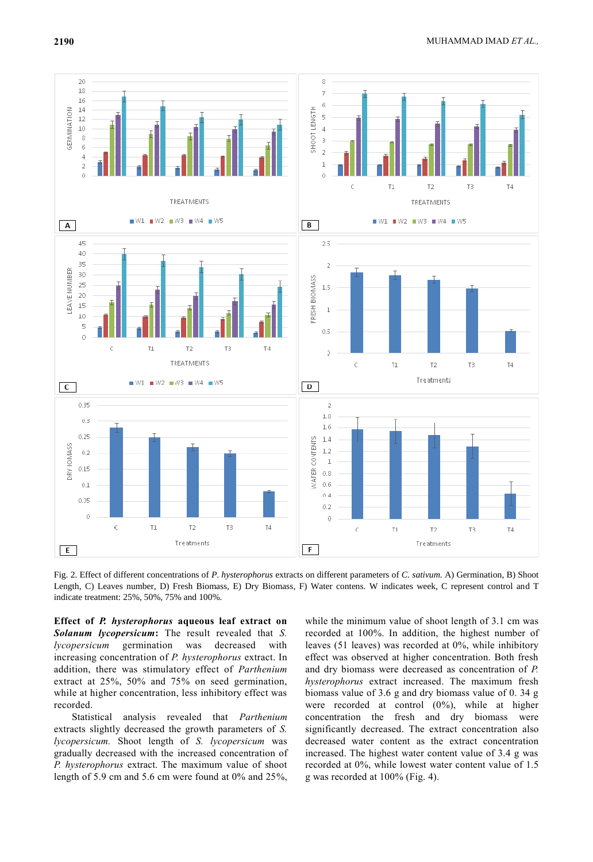

Fig. 2. Effect of different concentrations of *P. hysterophorus* extracts on different parameters of *C. sativum.* A) Germination, B) Shoot Length, C) Leaves number, D) Fresh Biomass, E) Dry Biomass, F) Water contens. W indicates week, C represent control and T indicate treatment: 25%, 50%, 75% and 100%.

**Effect of** *P. hysterophorus* **aqueous leaf extract on**  *Solanum lycopersicum***:** The result revealed that *S. lycopersicum* germination was decreased with increasing concentration of *P. hysterophorus* extract. In addition, there was stimulatory effect of *Parthenium* extract at 25%, 50% and 75% on seed germination, while at higher concentration, less inhibitory effect was recorded.

Statistical analysis revealed that *Parthenium* extracts slightly decreased the growth parameters of *S. lycopersicum.* Shoot length of *S. lycopersicum* was gradually decreased with the increased concentration of *P. hysterophorus* extract. The maximum value of shoot length of 5.9 cm and 5.6 cm were found at 0% and 25%,

while the minimum value of shoot length of 3.1 cm was recorded at 100%. In addition, the highest number of leaves (51 leaves) was recorded at 0%, while inhibitory effect was observed at higher concentration. Both fresh and dry biomass were decreased as concentration of *P. hysterophorus* extract increased. The maximum fresh biomass value of 3.6 g and dry biomass value of 0. 34 g were recorded at control (0%), while at higher concentration the fresh and dry biomass were significantly decreased. The extract concentration also decreased water content as the extract concentration increased. The highest water content value of 3.4 g was recorded at 0%, while lowest water content value of 1.5 g was recorded at 100% (Fig. 4).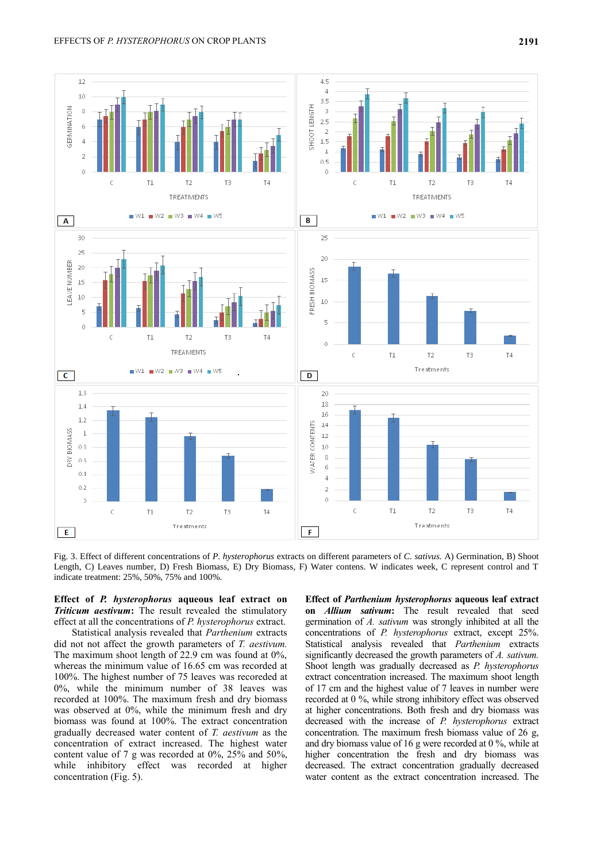

Fig. 3. Effect of different concentrations of *P. hysterophorus* extracts on different parameters of *C. sativus.* A) Germination, B) Shoot Length, C) Leaves number, D) Fresh Biomass, E) Dry Biomass, F) Water contens. W indicates week, C represent control and T indicate treatment: 25%, 50%, 75% and 100%.

**Effect of** *P. hysterophorus* **aqueous leaf extract on**  *Triticum aestivum***:** The result revealed the stimulatory effect at all the concentrations of *P. hysterophorus* extract.

Statistical analysis revealed that *Parthenium* extracts did not not affect the growth parameters of *T. aestivum.* The maximum shoot length of 22.9 cm was found at 0%, whereas the minimum value of 16.65 cm was recorded at 100%. The highest number of 75 leaves was recoreded at 0%, while the minimum number of 38 leaves was recorded at 100%. The maximum fresh and dry biomass was observed at 0%, while the minimum fresh and dry biomass was found at 100%. The extract concentration gradually decreased water content of *T. aestivum* as the concentration of extract increased. The highest water content value of 7 g was recorded at 0%, 25% and 50%, while inhibitory effect was recorded at higher concentration (Fig. 5).

**Effect of** *Parthenium hysterophorus* **aqueous leaf extract on** *Allium sativum***:** The result revealed that seed germination of *A. sativum* was strongly inhibited at all the concentrations of *P. hysterophorus* extract, except 25%. Statistical analysis revealed that *Parthenium* extracts significantly decreased the growth parameters of *A. sativum.* Shoot length was gradually decreased as *P. hysterophorus* extract concentration increased. The maximum shoot length of 17 cm and the highest value of 7 leaves in number were recorded at 0 %, while strong inhibitory effect was observed at higher concentrations. Both fresh and dry biomass was decreased with the increase of *P. hysterophorus* extract concentration. The maximum fresh biomass value of 26 g, and dry biomass value of 16 g were recorded at 0 %, while at higher concentration the fresh and dry biomass was decreased. The extract concentration gradually decreased water content as the extract concentration increased. The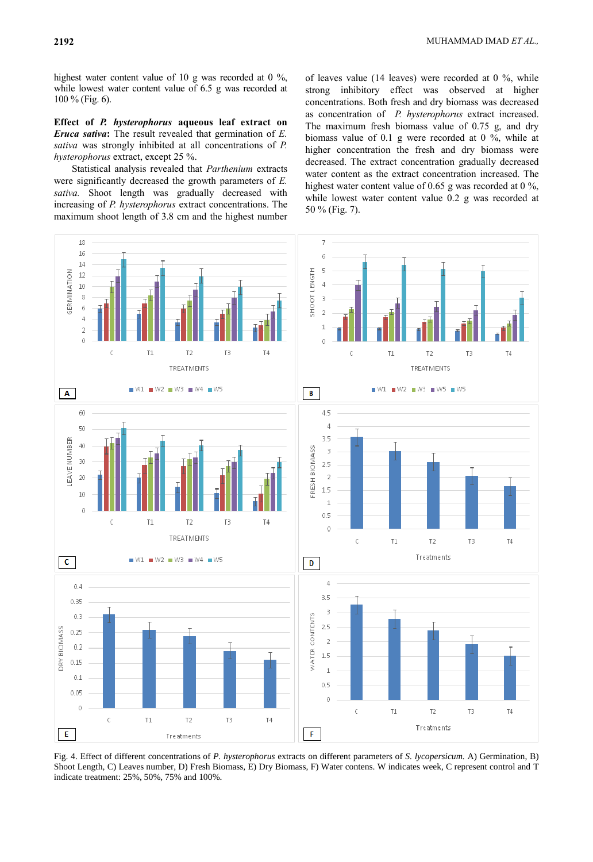highest water content value of 10 g was recorded at 0 %, while lowest water content value of 6.5 g was recorded at 100 % (Fig. 6).

**Effect of** *P. hysterophorus* **aqueous leaf extract on**  *Eruca sativa***:** The result revealed that germination of *E. sativa* was strongly inhibited at all concentrations of *P. hysterophorus* extract, except 25 %.

Statistical analysis revealed that *Parthenium* extracts were significantly decreased the growth parameters of *E. sativa.* Shoot length was gradually decreased with increasing of *P. hysterophorus* extract concentrations. The maximum shoot length of 3.8 cm and the highest number of leaves value (14 leaves) were recorded at 0 %, while strong inhibitory effect was observed at higher concentrations. Both fresh and dry biomass was decreased as concentration of *P. hysterophorus* extract increased. The maximum fresh biomass value of 0.75 g, and dry biomass value of 0.1 g were recorded at 0 %, while at higher concentration the fresh and dry biomass were decreased. The extract concentration gradually decreased water content as the extract concentration increased. The highest water content value of 0.65 g was recorded at 0 %, while lowest water content value 0.2 g was recorded at 50 % (Fig. 7).



Fig. 4. Effect of different concentrations of *P. hysterophorus* extracts on different parameters of *S. lycopersicum.* A) Germination, B) Shoot Length, C) Leaves number, D) Fresh Biomass, E) Dry Biomass, F) Water contens. W indicates week, C represent control and T indicate treatment: 25%, 50%, 75% and 100%.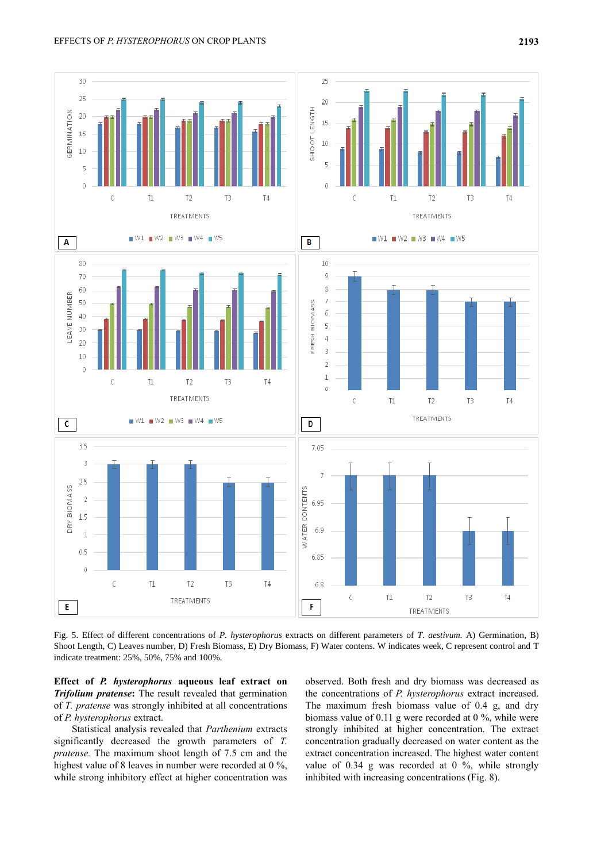

Fig. 5. Effect of different concentrations of *P. hysterophorus* extracts on different parameters of *T. aestivum.* A) Germination, B) Shoot Length, C) Leaves number, D) Fresh Biomass, E) Dry Biomass, F) Water contens. W indicates week, C represent control and T indicate treatment: 25%, 50%, 75% and 100%.

**Effect of** *P. hysterophorus* **aqueous leaf extract on**  *Trifolium pratense***:** The result revealed that germination of *T. pratense* was strongly inhibited at all concentrations of *P. hysterophorus* extract.

Statistical analysis revealed that *Parthenium* extracts significantly decreased the growth parameters of *T. pratense.* The maximum shoot length of 7.5 cm and the highest value of 8 leaves in number were recorded at 0 %, while strong inhibitory effect at higher concentration was observed. Both fresh and dry biomass was decreased as the concentrations of *P. hysterophorus* extract increased. The maximum fresh biomass value of 0.4 g, and dry biomass value of 0.11 g were recorded at 0 %, while were strongly inhibited at higher concentration. The extract concentration gradually decreased on water content as the extract concentration increased. The highest water content value of 0.34 g was recorded at 0 %, while strongly inhibited with increasing concentrations (Fig. 8).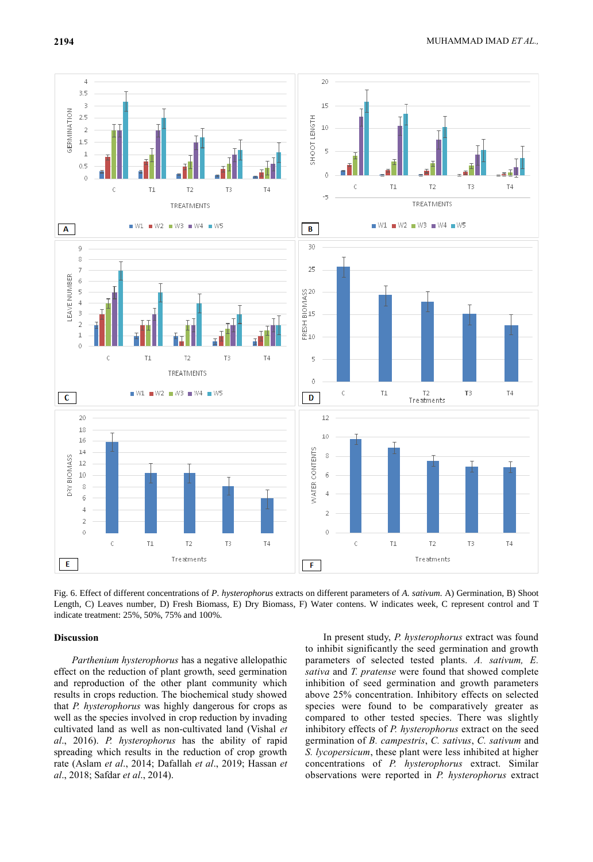

Fig. 6. Effect of different concentrations of *P. hysterophorus* extracts on different parameters of *A. sativum.* A) Germination, B) Shoot Length, C) Leaves number, D) Fresh Biomass, E) Dry Biomass, F) Water contens. W indicates week, C represent control and T indicate treatment: 25%, 50%, 75% and 100%.

### **Discussion**

*Parthenium hysterophorus* has a negative allelopathic effect on the reduction of plant growth, seed germination and reproduction of the other plant community which results in crops reduction. The biochemical study showed that *P. hysterophorus* was highly dangerous for crops as well as the species involved in crop reduction by invading cultivated land as well as non-cultivated land (Vishal *et al*., 2016). *P. hysterophorus* has the ability of rapid spreading which results in the reduction of crop growth rate (Aslam *et al*., 2014; Dafallah *et al*., 2019; Hassan *et al*., 2018; Safdar *et al*., 2014).

In present study, *P. hysterophorus* extract was found to inhibit significantly the seed germination and growth parameters of selected tested plants. *A. sativum, E. sativa* and *T. pratense* were found that showed complete inhibition of seed germination and growth parameters above 25% concentration. Inhibitory effects on selected species were found to be comparatively greater as compared to other tested species. There was slightly inhibitory effects of *P. hysterophorus* extract on the seed germination of *B. campestris*, *C. sativus*, *C. sativum* and *S. lycopersicum*, these plant were less inhibited at higher concentrations of *P. hysterophorus* extract. Similar observations were reported in *P. hysterophorus* extract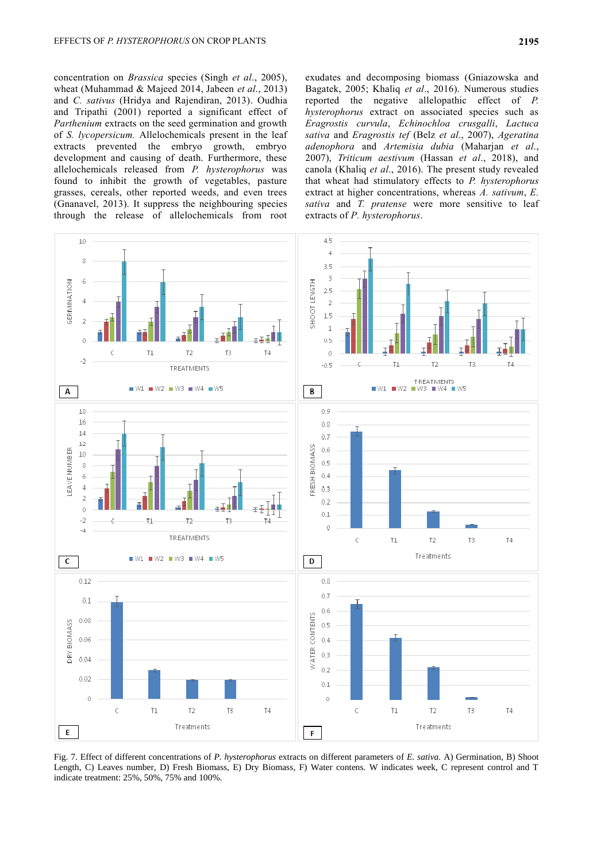concentration on *Brassica* species (Singh *et al*., 2005), wheat (Muhammad & Majeed 2014, Jabeen *et al*., 2013) and *C. sativus* (Hridya and Rajendiran, 2013). Oudhia and Tripathi (2001) reported a significant effect of *Parthenium* extracts on the seed germination and growth of *S. lycopersicum.* Allelochemicals present in the leaf extracts prevented the embryo growth, embryo development and causing of death. Furthermore, these allelochemicals released from *P. hysterophorus* was found to inhibit the growth of vegetables, pasture grasses, cereals, other reported weeds, and even trees (Gnanavel, 2013). It suppress the neighbouring species through the release of allelochemicals from root

exudates and decomposing biomass (Gniazowska and Bagatek, 2005; Khaliq *et al*., 2016). Numerous studies reported the negative allelopathic effect of *P. hysterophorus* extract on associated species such as *Eragrostis curvula*, *Echinochloa crusgalli*, *Lactuca sativa* and *Eragrostis tef* (Belz *et al*., 2007), *Ageratina adenophora* and *Artemisia dubia* (Maharjan *et al*., 2007), *Triticum aestivum* (Hassan *et al*., 2018), and canola (Khaliq *et al*., 2016). The present study revealed that wheat had stimulatory effects to *P. hysterophorus* extract at higher concentrations, whereas *A. sativum*, *E. sativa* and *T. pratense* were more sensitive to leaf extracts of *P. hysterophorus*.



Fig. 7. Effect of different concentrations of *P. hysterophorus* extracts on different parameters of *E. sativa.* A) Germination, B) Shoot Length, C) Leaves number, D) Fresh Biomass, E) Dry Biomass, F) Water contens. W indicates week, C represent control and T indicate treatment: 25%, 50%, 75% and 100%.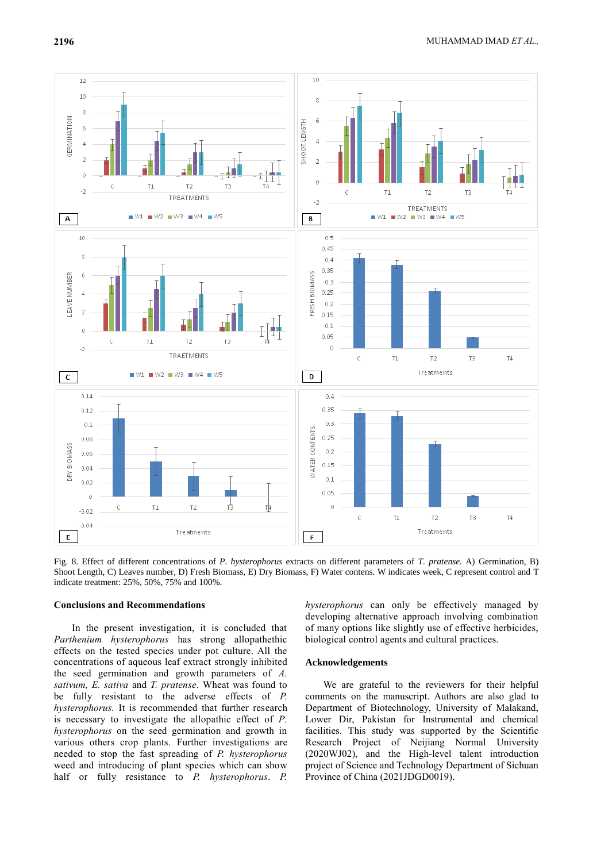

Fig. 8. Effect of different concentrations of *P. hysterophorus* extracts on different parameters of *T. pratense.* A) Germination, B) Shoot Length, C) Leaves number, D) Fresh Biomass, E) Dry Biomass, F) Water contens. W indicates week, C represent control and T indicate treatment: 25%, 50%, 75% and 100%.

### **Conclusions and Recommendations**

In the present investigation, it is concluded that *Parthenium hysterophorus* has strong allopathethic effects on the tested species under pot culture. All the concentrations of aqueous leaf extract strongly inhibited the seed germination and growth parameters of *A. sativum, E. sativa* and *T. pratense*. Wheat was found to be fully resistant to the adverse effects of *P. hysterophorus.* It is recommended that further research is necessary to investigate the allopathic effect of *P. hysterophorus* on the seed germination and growth in various others crop plants. Further investigations are needed to stop the fast spreading of *P. hysterophorus* weed and introducing of plant species which can show half or fully resistance to *P. hysterophorus*. *P.* 

*hysterophorus* can only be effectively managed by developing alternative approach involving combination of many options like slightly use of effective herbicides, biological control agents and cultural practices.

### **Acknowledgements**

We are grateful to the reviewers for their helpful comments on the manuscript. Authors are also glad to Department of Biotechnology, University of Malakand, Lower Dir, Pakistan for Instrumental and chemical facilities. This study was supported by the Scientific Research Project of Neijiang Normal University (2020WJ02), and the High-level talent introduction project of Science and Technology Department of Sichuan Province of China (2021JDGD0019).